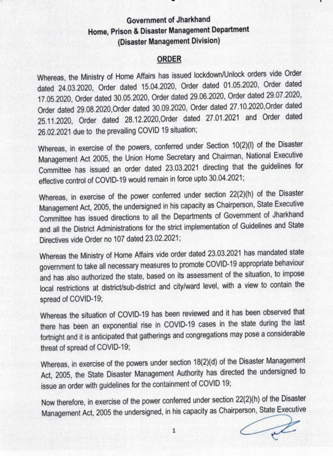## Government of Jharkhand Home, Prison & Disaster Management Department (Disaster Management Division)

## ORDER

Whereas, the Ministry of Home Affairs has issued lockdown/Unlock orders vide Order dated 24.03.2020, Order dated 15.04.2020, Order dated 01.05.2020, Order dated 17.05.2020, Order dated 30.05.2020, Order dated 29.06.2020, Order dated 29.07.2020, Order dated 29.08.2020,Order dated 30.09.2020, Order dated 27.10.2020,Order dated 25.11.2020, Order dated 28.12.2020,Order dated 27.01.2021 and Order dated 26.02.2021 due to the prevailing COVID 19 situation;

Whereas, in exercise of the powers, conferred under Section 10(2)(I) of the Disaster Management Act 2005, the Union Home Secretary and Chairman, National Executive Committee has issued an order dated 23.03.2021 directing that the guidelines for effective control of COVID-19 would remain in force upto 30.04.2021

Whereas, in exercise of the power conferred under section 22(2)(h) of the Disaster Management Act, 2005, the undersigned in his capacity as Chairperson, State Executive Committee has issued directions to all the Departments of Government of Jharkhand and all the District Administrations for the strict implementation of Guidelines and State Directives vide Order no 107 dated 23.02.2021;

Whereas the Ministry of Home Affairs vide order dated 23.03.2021 has mandated state government to take all necessary measures to promote COVID-19 appropriate behaviour and has also authorized the state, based on its assessment of the situation, to impose local restrictions at district/sub-district and city/ward level, with a view to contain the spread of COVID-19;

Whereas the situation of COVID-19 has been reviewed and it has been observed that there has been an exponential rise in COVID-19 cases in the state during the last fortnight and it is anticipated that gatherings and congregations may pose a considerable threat of spread of COVID-19;

Whereas, in exercise of the powers under section 18(2)(d) of the Disaster Management Act, 2005, the State Disaster Management Authority has directed the undersigned to issue an order with guidelines for the containment of COVID 19;

Now therefore, in exercise of the power conferred under section 22(2)(h) of the Disaster Management Act, 2005 the undersigned, in his capacity as Chairperson, State Executive

L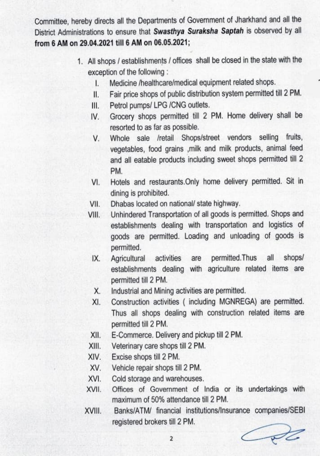Committee, hereby directs all the Departments of Government of Jharkhand and all the District Administrations to ensure that Swasthya Suraksha Saptah is observed by all from 6 AM on 29.04.2021 till 6 AM on 06.05.2021;

- 1. All shops/ establishments / offices shall be closed in the state with the exception of the following
	- I. Medicine /healthcare/medical equipment related shops.
	- I. Fair price shops of public distribution system permitted til 2 PM.
	- III. Petrol pumps/ LPG / CNG outlets.
	- V. Grocery shops permitted till 2 PM. Home delivery shall be resorted to as far as possible.
	- V. Whole sale /retail Shops/street vendors selling fruits, vegetables, food grains ,milk and milk products, animal feed and all eatable products including sweet shops permited till 2 PM.
	- VI. Hotels and restaurants.Only home delivery permitted. Sit in dining is prohibited.
	- VII. Dhabas located on national/ state highway.
	- Vil. Unhindered Transportation of all goods is permited. Shops and establishments dealing with transportation and logistics of goods are permitted. Loading and unloading of goods is permitted.
		- IX. Agricultural activities are permitted. Thus all shops/ establishments dealing with agriculture related items are permitted till 2 PM.
		- X. Industrial and Mining activities are permitted.
		- XI. Construction activities (including MGNREGA) are permitted. Thus all shops dealing with construction related items are permitted till 2 PM.
		- XI. E-Commerce. Delivery and pickup till 2 PM.
	- Xll. Veterinary care shops till 2 PM.
	- XIV. Excise shops til 2 PM.
	- XV. Vehicle repair shops till 2 PM.
	- XVI. Cold storage and warehouses.<br>XVII. Offices of Government of I
	- Offices of Government of India or its undertakings with maximum of 50% attendance till 2 PM.
	- XVIl. Banks/ATM/ financial institutions/Insurance companies/SEBI registered brokers till 2 PM.

Cote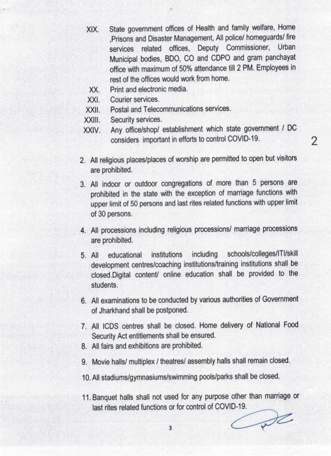XIX. State government offices of Health and family welfare, Home Prisons and Disaster Management, All policel homeguards/ fire services related offices, Deputy Commissioner, Urban Municipal bodies, BDO, CO and CDPO and gram panchayat office with maximum of 50% attendance til 2 PM. Employees in rest of the offices would work from home.

- XX. Print and electronic media.
- XXI. Courier services.
- XXIL. Postal and Telecommunications services.
- XXIl. Security services.
- XXIV. Any office/shop/ establishment which state government / DC considers important in efforts to control COVID-19.
- 2. All religious places/places of worship are permitted to open but visitors are prohibited.
- 3. All indoor or outdoor congregations of more than 5 persons are prohibited in the state with the exception of marriage functions with upper limit of 50 persons and last rites related functions with upper limit of 30 persons.
- 4. All processions including religious processions/ marriage processions are prohibited.
- 5. All educational institutions including schools/colleges/|Tl/skill development centres/coaching institutions/training institutions shall be closed.Digital content/ online education shall be provided to the students
- 6. All examinations to be conducted by various authorities of Government of Jharkhand shall be postponed.
- 7. All ICDS centres shall be closed. Home delivery of National Food Security Act entitlements shall be ensured.
- 8. All fairs and exhibitions are prohibited.
- 9. Movie hals/ multiplex / theatres/ assembly halls shall remain closed.
- 10. All stadiums/gymnasiums/swimming pools/parks shall be closed.
- 11. Banquet halls shall not used for any purpose other than marriage or last rites related functions or for control of COVID-19.

 $D$